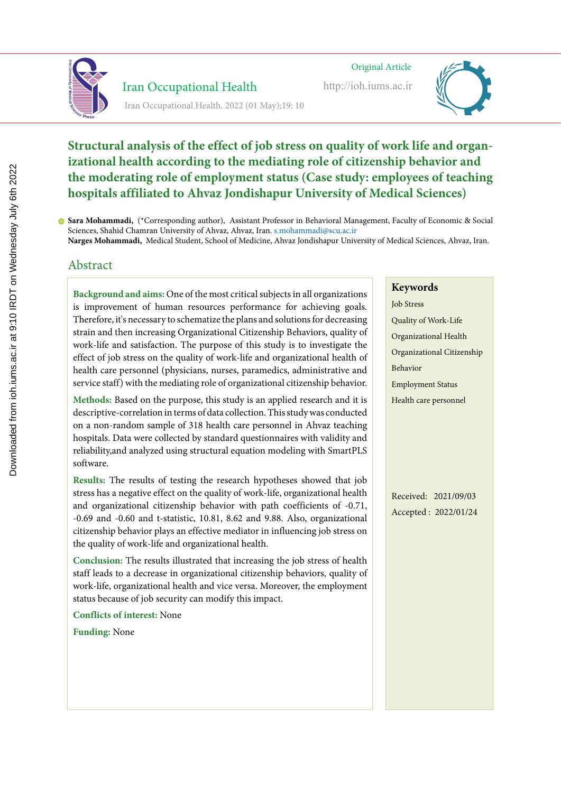

# Iran Occupational Health

Iran Occupational Health. 2022 (01 May);19: 10

 Iran Occupational Healthhttp://ioh.iums.ac.ir Original Article Original Article Original Article Iran Occupational Healthhttp://ioh.iums.ac.ir http://ioh.iums.ac.ir



#### **Structural analysis of the effect of job stress on quality of work life and organizational health according to the mediating role of citizenship behavior and**  the moderating role of employment status (Case study: employees of teaching **hospitals affiliated to Ahvaz Jondishapur University of Medical Sciences**) **Lighting and color temperature assessment in the office workplaces and Lighting and color temperature assessment in the office workplaces and relationship to visual fatigue relationship to visual fatigue** ospitals affiliated to Anvaz Jondishapur University of Medical Sciences) **for the Science**  $C_1$  Sciences Research, Hamedan University of Medical Sciences, Hamedan University of Medical Sciences, Hamedan University of Medical Sciences, Hamedan University of Medical Sciences, Hamedan, Iran. gold Sciences, Hameda **Zahra Pirmoradi,** MSc, Department of Occupational Hygiene, School of Health, Hamadan University of Medical Sciences,

Sara Mohammadi, (\*Corresponding author), Assistant Professor in Behavioral Management, Faculty of Economic & Social **Majid Motamedzadeh Torghabeh,** Professor, Department of Ergonomics, School of Health, Hamadan University of  $\ddot{D}$ **ira Mohammadi,** ("Correspon<sub>'</sub> **ra Mohammadi,** (\*Correspond Sciences, Shahid Chamran University of Ahvaz, Ahvaz, Iran. s.mohammadi@scu.ac.ir

Narges Mohammadi, Medical Student, School of Medicine, Ahvaz Jondishapur University of Medical Sciences, Ahvaz, Iran.

# Abstract Abstract Abstract

**Background and aims:** Lighting directly and indirectly affects employees' mental s improvement of numan resources performance for acmeving goals. Therefore, it's necessary to schematize the plans and solutions for decreasing strain and then increasing Organizational Citizenship Behaviors, quality of work-life and satisfaction. The purpose of this study is to investigate the the work into an outbrace. Lighting conditions of the conditions, especially to the conditions, especially conditions,  $\frac{d}{dt} = \frac{1}{2}$  $n_{\text{E}}$  are in Equality of work-file and organizational nearth of health care personnel (physicians, nurses, paramedics, administrative and service staff) with the mediating role of organizational citizenship behavior. monitoring the intensity of brightness and color temperature of light is essential to **Background and aims:** Lighting directly and indirectly affects employees' mental is improvement of human resources performance for achieving goals.  $\frac{d}{dx}$  and  $\frac{d}{dx}$  is  $\frac{d}{dx}$  in provide compute compute the conditions, especially conditions, especially conditions, especially conditions, especially conditions, especially conditions, especially conditions, esp effect of job stress on the quality of work-life and organizational health of monitoring the intensity of brightness and color temperature of light is essential to **Background and aims:** One of the most critical subjects in all organizations

Methods: Based on the purpose, this study is an applied research and it is descriptive-correlation in terms of data collection. This study was conducted on a non-random sample of 318 health care personnel in Ahvaz teaching color temperatures (CCT) of temperatures (CCT) of light play and increase personality role in human psychological psychological psychological psychological psychological psychological psychological psychological psychologi fospitals. Data were cohected by standard questionnaires with validity and reliability,and analyzed using structural equation modeling with SmartPLS software. in affecting human beings psychologically and physiologically, through their visual Methods: Based on the purpose, this study is an applied research and it is color temperatures (CCT) of light play and important play and important role in  $\frac{1}{2}$ hospitals. Data were collected by standard questionnaires with validity and

Results: The results of testing the research hypotheses showed that job stress has a negative effect on the quality of work-life, organizational health and organizational citizenship behavior with path coefficients of -0.71, and organizational officeromplements have paid obtinition. Consider  $\frac{1}{2}$  $0.09$  and -0.00 and t-statistic,  $10.81$ ,  $8.02$  and 9.88. Also, organizational citizenship behavior plays an effective mediator in influencing job stress on the quality of work-life and organizational health. in affecting human beings psychologically and physiologically, through their visual Results: The results of testing the research hypotheses showed that job and organizational environment versions  $\frac{1}{2}$  at terms  $\frac{1}{2}$  and  $\frac{1}{2}$  at  $\frac{1}{2}$  and  $\frac{1}{2}$  and  $\frac{1}{2}$  and  $\frac{1}{2}$  and  $\frac{1}{2}$  and  $\frac{1}{2}$  and  $\frac{1}{2}$  and  $\frac{1}{2}$  and  $\frac{1}{2}$  and  $\frac{1}{2}$  $-0.69$  and  $-0.60$  and  $t$ -statistic,  $10.81$ ,  $8.62$  and  $9.88$ . Also, organizational

conditions in office environments increase the risk of visual and ergonomic Conclusion: The results illustrated that increasing the job stress of health staff leads to a decrease in organizational citizenship behaviors, quality of work-life, organizational health and vice versa. Moreover, the employment  $\frac{M}{\sqrt{1-\frac{1}{2}}}\left(\frac{1}{\sqrt{1-\frac{1}{2}}}\right)$ ratus because of Job security can modify this impact. conditions in office environments increase the risk of visual and ergonomic Conclusion: The results illustrated that increasing the job stress of health **Methods:** This cross-sectional study was conducted in 50 rooms and among 70 status because of job security can modify this impact.

**Conflicts of interest:** None

**level of the individual execution at the individual execution of view and the user's point of view and the user** 

# **Keywords Keywords**

<sup>1</sup> Quality of Work-Life Organizational Health **Keywords** Job Stress Organizational Citizenship Behavior Employment Status Health care personnel

Received: 2021/09/03 Accepted : 2022/01/24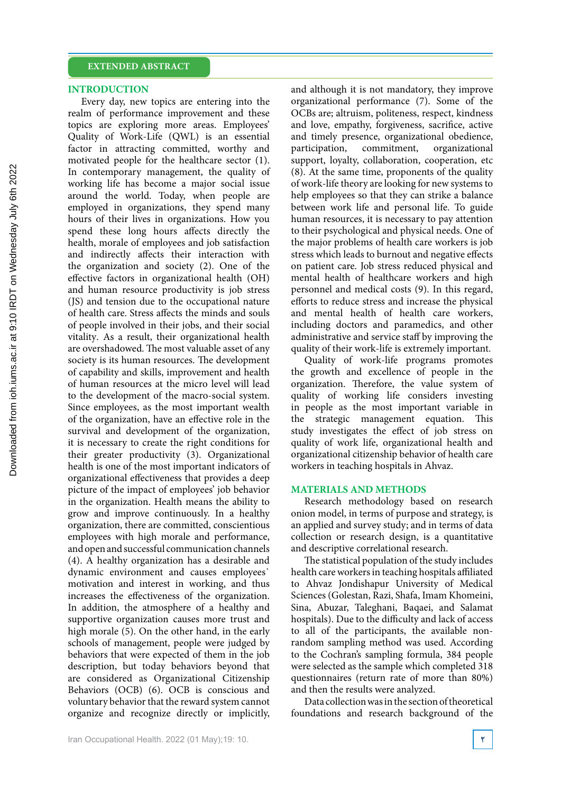#### **INTRODUCTION**

Every day, new topics are entering into the realm of performance improvement and these topics are exploring more areas. Employees' Quality of Work-Life (QWL) is an essential factor in attracting committed, worthy and motivated people for the healthcare sector (1). In contemporary management, the quality of working life has become a major social issue around the world. Today, when people are employed in organizations, they spend many hours of their lives in organizations. How you spend these long hours affects directly the health, morale of employees and job satisfaction and indirectly affects their interaction with the organization and society (2). One of the effective factors in organizational health (OH) and human resource productivity is job stress (JS) and tension due to the occupational nature of health care. Stress affects the minds and souls of people involved in their jobs, and their social vitality. As a result, their organizational health are overshadowed. The most valuable asset of any society is its human resources. The development of capability and skills, improvement and health of human resources at the micro level will lead to the development of the macro-social system. Since employees, as the most important wealth of the organization, have an effective role in the survival and development of the organization, it is necessary to create the right conditions for their greater productivity (3). Organizational health is one of the most important indicators of organizational effectiveness that provides a deep picture of the impact of employees' job behavior in the organization. Health means the ability to grow and improve continuously. In a healthy organization, there are committed, conscientious employees with high morale and performance, and open and successful communication channels (4). A healthy organization has a desirable and dynamic environment and causes employees` motivation and interest in working, and thus increases the effectiveness of the organization. In addition, the atmosphere of a healthy and supportive organization causes more trust and high morale (5). On the other hand, in the early schools of management, people were judged by behaviors that were expected of them in the job description, but today behaviors beyond that are considered as Organizational Citizenship Behaviors (OCB) (6). OCB is conscious and voluntary behavior that the reward system cannot organize and recognize directly or implicitly,

and although it is not mandatory, they improve organizational performance (7). Some of the OCBs are; altruism, politeness, respect, kindness and love, empathy, forgiveness, sacrifice, active and timely presence, organizational obedience, participation, commitment, organizational support, loyalty, collaboration, cooperation, etc (8). At the same time, proponents of the quality of work-life theory are looking for new systems to help employees so that they can strike a balance between work life and personal life. To guide human resources, it is necessary to pay attention to their psychological and physical needs. One of the major problems of health care workers is job stress which leads to burnout and negative effects on patient care. Job stress reduced physical and mental health of healthcare workers and high personnel and medical costs (9). In this regard, efforts to reduce stress and increase the physical and mental health of health care workers, including doctors and paramedics, and other administrative and service staff by improving the quality of their work-life is extremely important.

Quality of work-life programs promotes the growth and excellence of people in the organization. Therefore, the value system of quality of working life considers investing in people as the most important variable in the strategic management equation. This study investigates the effect of job stress on quality of work life, organizational health and organizational citizenship behavior of health care workers in teaching hospitals in Ahvaz.

#### **MATERIALS AND METHODS**

Research methodology based on research onion model, in terms of purpose and strategy, is an applied and survey study; and in terms of data collection or research design, is a quantitative and descriptive correlational research.

The statistical population of the study includes health care workers in teaching hospitals affiliated to Ahvaz Jondishapur University of Medical Sciences (Golestan, Razi, Shafa, Imam Khomeini, Sina, Abuzar, Taleghani, Baqaei, and Salamat hospitals). Due to the difficulty and lack of access to all of the participants, the available nonrandom sampling method was used. According to the Cochran's sampling formula, 384 people were selected as the sample which completed 318 questionnaires (return rate of more than 80%) and then the results were analyzed.

Data collection was in the section of theoretical foundations and research background of the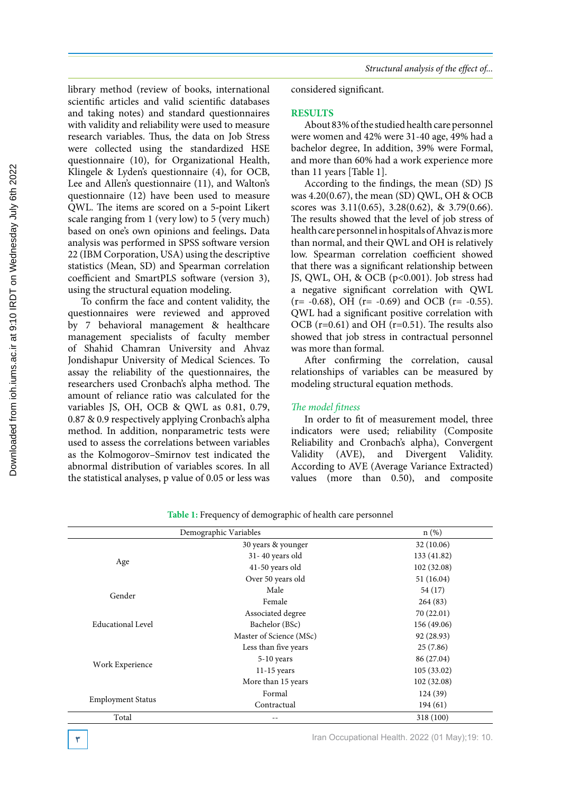library method (review of books, international scientific articles and valid scientific databases and taking notes) and standard questionnaires with validity and reliability were used to measure research variables. Thus, the data on Job Stress were collected using the standardized HSE questionnaire (10), for Organizational Health, Klingele & Lyden's questionnaire (4), for OCB, Lee and Allen's questionnaire (11), and Walton's questionnaire (12) have been used to measure QWL. The items are scored on a 5‑point Likert scale ranging from 1 (very low) to 5 (very much) based on one's own opinions and feelings**.** Data analysis was performed in SPSS software version 22 (IBM Corporation, USA) using the descriptive statistics (Mean, SD) and Spearman correlation coefficient and SmartPLS software (version 3), using the structural equation modeling.

To confirm the face and content validity, the questionnaires were reviewed and approved by 7 behavioral management & healthcare management specialists of faculty member of Shahid Chamran University and Ahvaz Jondishapur University of Medical Sciences. To assay the reliability of the questionnaires, the researchers used Cronbach's alpha method. The amount of reliance ratio was calculated for the variables JS, OH, OCB & QWL as 0.81, 0.79, 0.87 & 0.9 respectively applying Cronbach's alpha method. In addition, nonparametric tests were used to assess the correlations between variables as the Kolmogorov–Smirnov test indicated the abnormal distribution of variables scores. In all the statistical analyses, p value of 0.05 or less was

considered significant.

### **RESULTS**

About 83% of the studied health care personnel were women and 42% were 31-40 age, 49% had a bachelor degree, In addition, 39% were Formal, and more than 60% had a work experience more than 11 years [Table 1].

According to the findings, the mean (SD) JS was  $4.20(0.67)$ , the mean (SD) QWL, OH & OCB scores was 3.11(0.65), 3.28(0.62), & 3.79(0.66). The results showed that the level of job stress of health care personnel in hospitals of Ahvaz is more than normal, and their QWL and OH is relatively low. Spearman correlation coefficient showed that there was a significant relationship between JS, QWL, OH, & OCB (p<0.001). Job stress had a negative significant correlation with QWL  $(r=-0.68)$ , OH  $(r=-0.69)$  and OCB  $(r=-0.55)$ . QWL had a significant positive correlation with OCB (r=0.61) and OH (r=0.51). The results also showed that job stress in contractual personnel was more than formal.

After confirming the correlation, causal relationships of variables can be measured by modeling structural equation methods.

### *The model fitness*

In order to fit of measurement model, three indicators were used; reliability (Composite Reliability and Cronbach's alpha), Convergent Validity (AVE), and Divergent Validity. According to AVE (Average Variance Extracted) values (more than 0.50), and composite

|                          | Demographic Variables   | $n$ (%)     |
|--------------------------|-------------------------|-------------|
|                          | 30 years & younger      | 32 (10.06)  |
|                          | 31-40 years old         | 133 (41.82) |
| Age                      | 41-50 years old         | 102 (32.08) |
|                          | Over 50 years old       | 51(16.04)   |
| Gender                   | Male                    | 54 (17)     |
|                          | Female                  | 264(83)     |
| Educational Level        | Associated degree       | 70 (22.01)  |
|                          | Bachelor (BSc)          | 156 (49.06) |
|                          | Master of Science (MSc) | 92 (28.93)  |
|                          | Less than five years    | 25(7.86)    |
|                          | 5-10 years              | 86 (27.04)  |
| Work Experience          | $11-15$ years           | 105(33.02)  |
|                          | More than 15 years      | 102 (32.08) |
|                          | Formal                  | 124 (39)    |
| <b>Employment Status</b> | Contractual             | 194(61)     |
| Total                    |                         | 318 (100)   |

**Table 1:** Frequency of demographic of health care personnel

**1** Iran Occupational Health. 2022 (01 May);19: 10.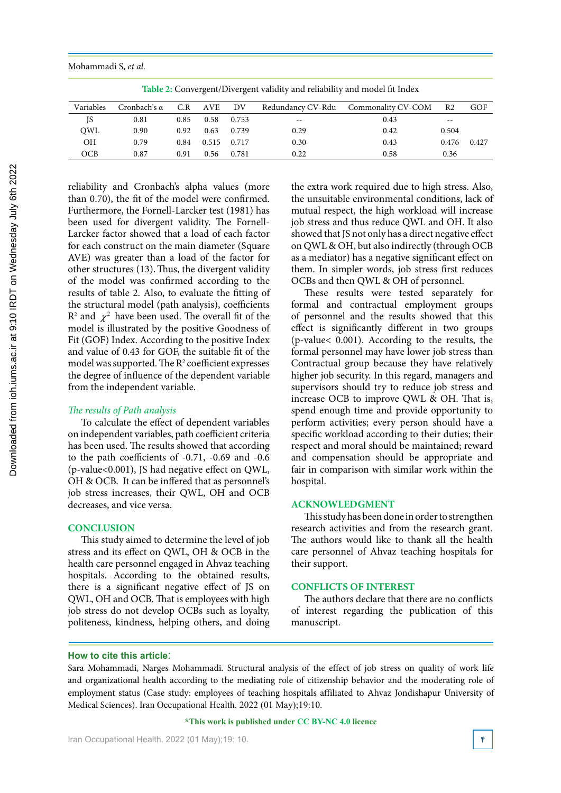Mohammadi S, *et al.*

Table 2: Convergent/Divergent validity and reliability and model fit Index

| Variables | Cronbach's α |      | C.R AVE DV  |       |                          | Redundancy CV-Rdu Commonality CV-COM | R <sub>2</sub> | GOF   |
|-----------|--------------|------|-------------|-------|--------------------------|--------------------------------------|----------------|-------|
| JS        | 0.81         | 0.85 | 0.58        | 0.753 | $\overline{\phantom{m}}$ | 0.43                                 | $- -$          |       |
| OWL       | 0.90         | 0.92 | 0.63        | 0.739 | 0.29                     | 0.42                                 | 0.504          |       |
| ΟH        | 0.79         | 0.84 | 0.515 0.717 |       | 0.30                     | 0.43                                 | 0.476          | 0.427 |
| OCB       | 0.87         | 0.91 | 0.56        | 0.781 | 0.22                     | 0.58                                 | 0.36           |       |

reliability and Cronbach's alpha values (more than 0.70), the fit of the model were confirmed. Furthermore, the Fornell-Larcker test (1981) has been used for divergent validity. The Fornell-Larcker factor showed that a load of each factor for each construct on the main diameter (Square AVE) was greater than a load of the factor for other structures (13).Thus, the divergent validity of the model was confirmed according to the results of table 2. Also, to evaluate the fitting of the structural model (path analysis), coefficients  $\mathbb{R}^2$  and  $\chi^2$  have been used. The overall fit of the model is illustrated by the positive Goodness of Fit (GOF) Index. According to the positive Index and value of 0.43 for GOF, the suitable fit of the model was supported. The  $R^2$  coefficient expresses the degree of influence of the dependent variable from the independent variable.

### *The results of Path analysis*

To calculate the effect of dependent variables on independent variables, path coefficient criteria has been used. The results showed that according to the path coefficients of -0.71, -0.69 and -0.6 (p-value<0.001), JS had negative effect on QWL, OH & OCB. It can be inffered that as personnel's job stress increases, their QWL, OH and OCB decreases, and vice versa.

### **CONCLUSION**

This study aimed to determine the level of job stress and its effect on QWL, OH & OCB in the health care personnel engaged in Ahvaz teaching hospitals. According to the obtained results, there is a significant negative effect of JS on QWL, OH and OCB. That is employees with high job stress do not develop OCBs such as loyalty, politeness, kindness, helping others, and doing

the extra work required due to high stress. Also, the unsuitable environmental conditions, lack of mutual respect, the high workload will increase job stress and thus reduce QWL and OH. It also showed that JS not only has a direct negative effect on QWL & OH, but also indirectly (through OCB as a mediator) has a negative significant effect on them. In simpler words, job stress first reduces OCBs and then QWL & OH of personnel.

These results were tested separately for formal and contractual employment groups of personnel and the results showed that this effect is significantly different in two groups (p-value< 0.001). According to the results, the formal personnel may have lower job stress than Contractual group because they have relatively higher job security. In this regard, managers and supervisors should try to reduce job stress and increase OCB to improve QWL & OH. That is, spend enough time and provide opportunity to perform activities; every person should have a specific workload according to their duties; their respect and moral should be maintained; reward and compensation should be appropriate and fair in comparison with similar work within the hospital.

### **ACKNOWLEDGMENT**

This study has been done in order to strengthen research activities and from the research grant. The authors would like to thank all the health care personnel of Ahvaz teaching hospitals for their support.

### **CONFLICTS OF INTEREST**

The authors declare that there are no conflicts of interest regarding the publication of this manuscript.

### **How to cite this article**:

Sara Mohammadi, Narges Mohammadi. Structural analysis of the effect of job stress on quality of work life and organizational health according to the mediating role of citizenship behavior and the moderating role of employment status (Case study: employees of teaching hospitals affiliated to Ahvaz Jondishapur University of Medical Sciences). Iran Occupational Health. 2022 (01 May);19:10.

#### **\*This work is published under CC BY-NC 4.0 licence**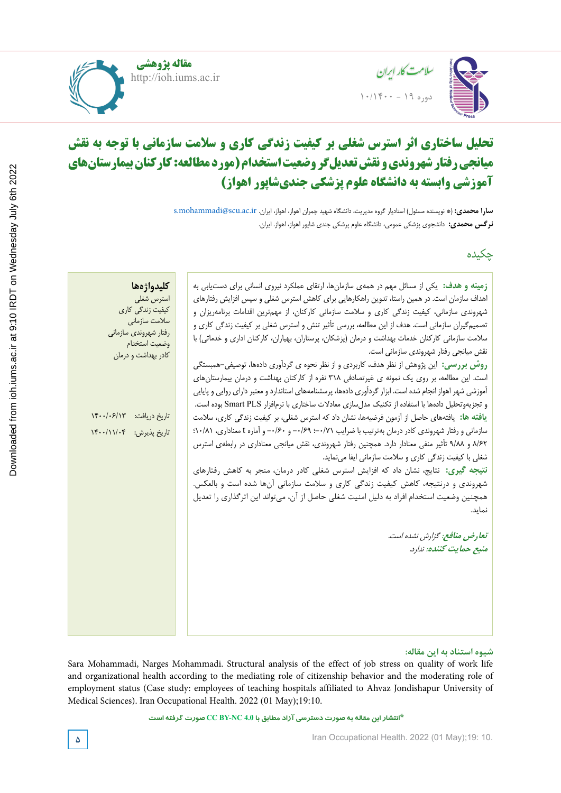





#### $\mathbf{L}$   $\mathbf{L}$   $\mathbf{S}$ **relationship to visual fatigue Rostam Golmohammadi,** (\*Corresponding author), Professor, Department of Occupational Health, School of Health and Center for Health Sciences Research, Hamedan University of Medical Sciences, Hamedan, Iran. golmohamadi@umsha.ac.ir ID **آموزشی وابسته به دانشگاه علوم پزشکی جندیشاپور اهواز( Lighting and color temperature assessment in the office workplaces and Rostam Golmohammadi,** (\*Corresponding author), Professor, Department of Occupational Health, School of Health and  $\tilde{H}$ **تحلیل ساختاری اثر استرس شغلی بر کیفیت زندگی کاری و سالمت سازمانی با توجه به نقش میانجی رفتار شهروندی و نقش تعدیلگر وضعیت استخدام )مورد مطالعه: کارکنان بیمارستانهای**

**سارا محمدی:** (\* نویسنده مسئول) استادیار گروه مدیریت، دانشگاه شهید چمران اهواز، اهواز، ایران. s.mohammadi@scu.ac.ir **سارا محمدی نرگس محمدی:** دانشجوی پزشکی عمومی، دانشگاه علوم پرشکی جندی شاپور اهواز، اهواز. ایران. **Javad Fardmal,** Professor, Associate Professor, Department of Biostatistics, School of Health, Hamadan University of

چکیده

| كليدواژهها<br>زمینه و هدف: یکی از مسائل مهم در همهی سازمانها، ارتقای عملکرد نیروی انسانی برای دستیابی به                         |
|----------------------------------------------------------------------------------------------------------------------------------|
| اهداف سازمان است. در همین راستا، تدوین راهکارهایی برای کاهش استرس شغلی و سپس افزایش رفتارهای<br>استرس شغلي                       |
| کیفیت زندگی کاری<br>شهروندی سازمانی، کیفیت زندگی کاری و سلامت سازمانی کارکنان، از مهمترین اقدامات برنامهریزان و<br>سلامت سازمانى |
| تصمیمگیران سازمانی است. هدف از این مطالعه، بررسی تأثیر تنش و استرس شغلی بر کیفیت زندگی کاری و<br>رفتار شهروندي سازماني           |
| سلامت سازمانی کارکنان خدمات بهداشت و درمان (پزشکان، پرستاران، بهیاران، کارکنان اداری و خدماتی) با<br>وضعيت استخدام               |
| نقش میانجی رفتار شهروندی سازمانی است.<br>كادر بهداشت و درمان                                                                     |
| روش بررسی:  این پژوهش از نظر هدف، کاربردی و از نظر نحوه ی گردآوری دادهها، توصیفی–همبستگی                                         |
| است. این مطالعه، بر روی یک نمونه ی غیرتصادفی ۳۱۸ نفره از کارکنان بهداشت و درمان بیمارستان های                                    |
| آموزشی شهر اهواز انجام شده است. ابزار گردآوری دادهها، پرسشنامههای استاندارد و معتبر دارای روایی و پایایی                         |
| و تجزيهوتحليل دادهها با استفاده از تكنيك مدلسازي معادلات ساختاري با نرمافزار Smart PLS بوده است.                                 |
| تاريخ دريافت: ١۴٠٠/٠۶/١٣<br><b>یافته ها:</b> یافتههای حاصل از آزمون فرضیهها، نشان داد که استرس شغلی، بر کیفیت زندگی کاری، سلامت  |
| سازمانی و رفتار شهروندی کادر درمان بهترتیب با ضرایب ۰/۶۹–؛ ۰/۶۹– و ۰/۶۰– و آماره t معناداری، ۰۱۰/۸۱؛<br>تاريخ پذيرش: ۱۴۰۰/۱۱/۰۴  |
| ٨/۶٢ و ٩/٨٨ تأثير منفى معنادار دارد. همچنين رفتار شهروندى، نقش ميانجي معنادارى در رابطهى استرس                                   |
| شغلی با کیفیت زندگی کاری و سلامت سازمانی ایفا می نماید.                                                                          |
| <b>نتیجه گیری:</b> نتایج، نشان داد که افزایش استرس شغلی کادر درمان، منجر به کاهش رفتارهای                                        |
| شهروندی و درنتیجه، کاهش کیفیت زندگی کاری و سلامت سازمانی آنها شده است و بالعکس.                                                  |
| همچنین وضعیت استخدام افراد به دلیل امنیت شغلی حاصل از آن، می¤واند این اثر گذاری را تعدیل                                         |
| نماید.                                                                                                                           |
| تعارض منافع: گزارش نشده است.                                                                                                     |
| منبع حمايت كننده: ندارد.                                                                                                         |
|                                                                                                                                  |
|                                                                                                                                  |
|                                                                                                                                  |
|                                                                                                                                  |
|                                                                                                                                  |
|                                                                                                                                  |
|                                                                                                                                  |

### شیوه استناد به این مقاله:

Sara Mohammadi, Narges Mohammadi. Structural analysis of the effect of job stress on quality of work life and organizational health according to the mediating role of citizenship behavior and the moderating role of employment status (Case study: employees of teaching hospitals affiliated to Ahvaz Jondishapur University of Medical Sciences). Iran Occupational Health. 2022 (01 May);19:10.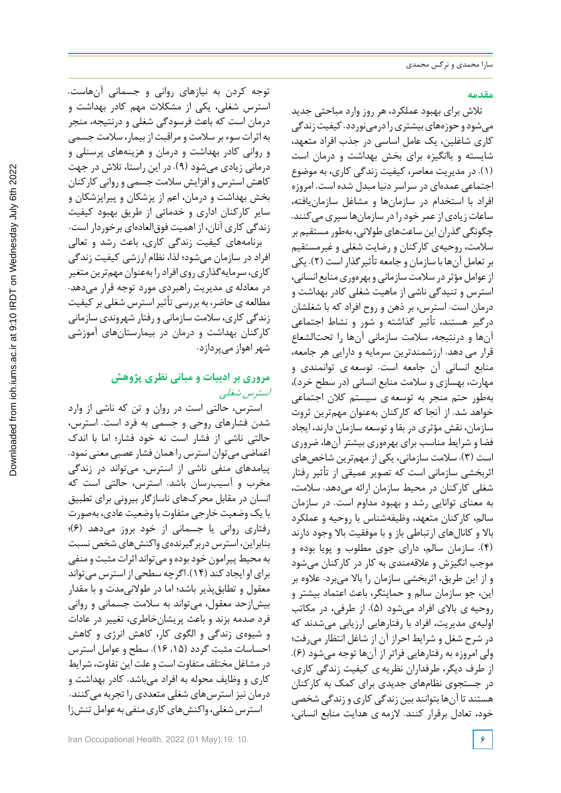### **مقدمه**

تالش برای بهبود عملکرد، هر روز وارد مباحثی جدید میشودوحوزههایبیشتریرادرمینوردد. کیفیتزندگی کاری شاغلین، یک عامل اساسی در جذب افراد متعهد، شایسته و باانگیزه برای بخش بهداشت و درمان است (1). در مدیریت معاصر، کیفیت زندگی کاری، به موضوع اجتماعی عمدهای در سراسردنیا مبدل شده است. امروزه افراد با استخدام در سازمانها و مشاغل سازمانیافته، ساعات زیادی از عمر خود را در سازمانها سپری میکنند. چگونگی گذران این ساعتهای طولانی، بهطور مستقیم بر سالمت، روحیهی کارکنان و رضایت شغلی و غیرمستقیم برتعامل آنها با سازمان و جامعه تأثیرگذاراست (2). یکی از عوامل مؤثر در سلامت سازمانی و بهرهوری منابع انسانی، استرس و تنیدگی ناشی از ماهیت شغلی کادر بهداشت و درمان است. استرس، بر ذهن و روح افراد که با شغلشان درگیر هستند، تأثیر گذاشته و شور و نشاط اجتماعی آنها و درنتیجه، سالمت سازمانی آنها را تحتالشعاع قرار می دهد. ارزشمندترین سرمایه و دارایی هر جامعه، منابع انسانی آن جامعه است. توسعه ی توانمندی و مهارت، بهسازی و سالمت منابع انسانی (در سطح خرد)، بهطور حتم منجر به توسعه ی سیستم کالن اجتماعی خواهد شد. از آنجا که کارکنان بهعنوان مهمترین ثروت سازمان، نقش مؤثری در بقا و توسعه سازمان دارند، ایجاد فضا و شرایط مناسب برای بهرهوری بیشتر آنها، ضروری است (3). سالمت سازمانی، یکی از مهمترین شاخصهای اثربخشی سازمانی است که تصویر عمیقی از تأثیر رفتار شغلی کارکنان در محیط سازمان ارائه میدهد. سالمت، به معنای توانایی رشد و بهبود مداوم است. در سازمان سالم، کارکنان متعهد، وظیفهشناس با روحیه و عملکرد باال و کانالهای ارتباطی باز و با موفقیت باال وجود دارند (4). سازمان سالم، دارای جوی مطلوب و پویا بوده و موجب انگیزش و عالقهمندی به کار در کارکنان میشود و از این طریق، اثربخشی سازمان را باال میبرد. عالوه بر این، جو سازمان سالم و حمایتگر، باعث اعتماد بیشتر و روحیه ی باالی افراد میشود (5). از طرفی، در مکاتب اولیهی مدیریت، افراد با رفتارهایی ارزیابی میشدند که در شرح شغل و شرایط احراز آن از شاغل انتظار میرفت؛ ولی امروزه به رفتارهایی فراتر از آنها توجه میشود (6). از طرف دیگر، طرفداران نظریه ی کیفیت زندگی کاری، در جستجوی نظامهای جدیدی برای کمک به کارکنان هستند تا آنها بتوانند بین زندگی کاری و زندگی شخصی خود، تعادل برقرار کنند. الزمه ی هدایت منابع انسانی،

توجه کردن به نیازهای روانی و جسمانی آنهاست. استرس شغلی، یکی از مشکالت مهم کادر بهداشت و درمان است که باعث فرسودگی شغلی و درنتیجه، منجر به اثراتسوء بر سالمت ومراقبت ازبیمار، سالمت جسمی و روانی کادر بهداشت و درمان و هزینههای پرسنلی و درمانی زیادی میشود (9). در این راستا، تالش در جهت کاهش استرس و افزایش سالمت جسمی و روانی کارکنان بخش بهداشت و درمان، اعم از پزشکان و پیراپزشکان و سایر کارکنان اداری و خدماتی از طریق بهبود کیفیت زندگی کاری آنان، از اهمیت فوقالعادهای برخوردار است. برنامههای کیفیت زندگی کاری، باعث رشد و تعالی افراد در سازمان میشود؛ لذا، نظام ارزشی کیفیت زندگی کاری، سرمایه گذاری روی افراد را بهعنوان مهم ترین متغیر در معادله ی مدیریت راهبردی مورد توجه قرار میدهد. مطالعه ی حاضر، به بررسی تأثیراسترس شغلی برکیفیت زندگی کاری، سالمت سازمانی و رفتار شهروندی سازمانی کارکنان بهداشت و درمان در بیمارستانهای آموزشی شهراهواز میپردازد.

# **مروری بر ادبیات و مبانی نظری پژوهش** استرس شغلی

استرس، حالتی است در روان و تن که ناشی از وارد شدن فشارهای روحی و جسمی به فرد است. استرس، حالتی ناشی از فشار است نه خود فشار؛ اما با اندك اغماضی میتوان استرس را همان فشار عصبی معنی نمود. پیامدهای منفی ناشی از استرس، میتواند در زندگی مخرب و آسیبرسان باشد. استرس، حالتی است که انسان در مقابل محركهای ناسازگار بیرونی برای تطبیق با یک وضعیت خارجی متفاوت با وضعیت عادی، بهصورت رفتاری روانی یا جسمانی از خود بروز میدهد (6)؛ بنابراین، استرس دربر گیرندهی واکنش های شخص نسبت به محیط پیرامون خود بوده و می تواند اثرات مثبت و منفی برایاوایجادکند (14). اگرچه سطحیازاسترس میتواند معقول و تطابقپذیر باشد؛ اما در طوالنیمدت و با مقدار بیشازحد معقول، میتواند به سالمت جسمانی و روانی فرد صدمه بزند و باعث پریشانخاطری، تغییر در عادات و شیوهی زندگی و الگوی کار، کاهش انرژی و کاهش احساسات مثبت گردد (,15 16). سطح و عوامل استرس درمشاغل مختلف متفاوتاست وعلت این تفاوت، شرایط کاری و وظایف محوله به افراد میباشد. کادر بهداشت و درمان نیزاسترسهای شغلی متعددی را تجربه میکنند. استرس شغلی، واکنش های کاری منفی به عوامل تنش;ا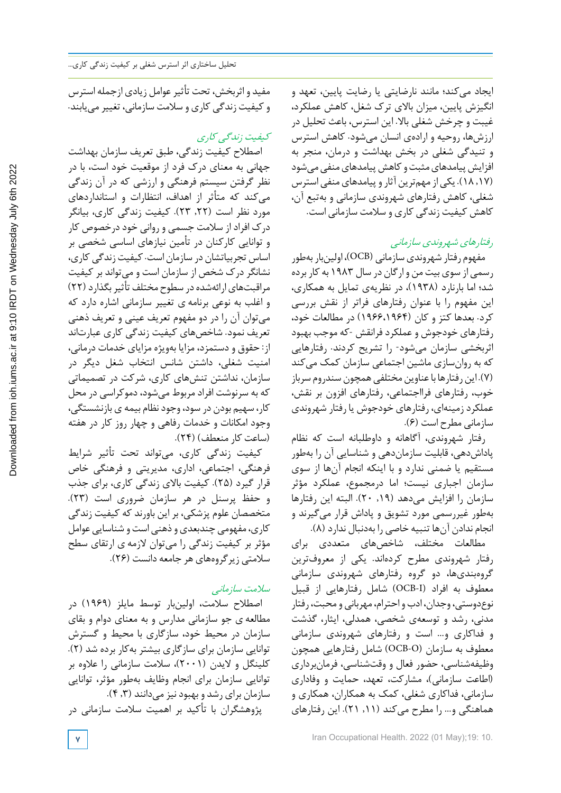ایجاد میکند؛ مانند نارضایتی یا رضایت پایین، تعهد و انگیزش پایین، میزان باالی ترك شغل، کاهش عملکرد، غیبت و چرخش شغلی باال. این استرس، باعث تحلیل در ارزشها، روحیه و ارادهی انسان میشود. کاهش استرس و تنیدگی شغلی در بخش بهداشت و درمان، منجر به افزایش پیامدهای مثبت و کاهش پیامدهای منفی می شود (,17 18). یکیازمهمترینآثاروپیامدهایمنفیاسترس شغلی، کاهش رفتارهای شهروندی سازمانی و بهتبع آن، کاهش کیفیت زندگی کاری و سالمت سازمانی است.

# رفتارهای شهروندی سازمانی

مفهوم رفتار شهروندیسازمانی (OCB(، اولینباربهطور رسمی از سویبیت من وارگان در سال 1983 به کار برده شد؛ اما بارنارد (1938)، در نظریهی تمایل به همکاری، این مفهوم را با عنوان رفتارهای فراتر از نقش بررسی کرد. بعدها کتز و کان (1966،1964) در مطالعات خود، رفتارهای خودجوش و عملکرد فرانقش -که موجب بهبود اثربخشی سازمان میشود- را تشریح کردند. رفتارهایی که به روانسازی ماشین اجتماعی سازمان کمک میکند (٧). این رفتارها با عناوین مختلفی همچون سندروم سرباز خوب، رفتارهای فرااجتماعی، رفتارهای افزون بر نقش، عملکردزمینهای، رفتارهای خودجوش یا رفتار شهروندی سازمانی مطرح است (6).

رفتار شهروندی، آگاهانه و داوطلبانه است که نظام پاداشدهی، قابلیت سازماندهی و شناسایی آن را بهطور مستقیم یا ضمنی ندارد و با اینکه انجام آنها از سوی سازمان اجباری نیست؛ اما درمجموع، عملکرد مؤثر سازمان را افزایش میدهد (۱۹, ۲۰). البته این رفتارها بهطور غیررسمی مورد تشویق و پاداش قرار میگیرند و انجام ندادن آنها تنبیه خاصی را بهدنبال ندارد (8).

مطالعات مختلف، شاخصهای متعددی برای رفتار شهروندی مطرح کردهاند. یکی از معروفترین گروهبندیها، دو گروه رفتارهای شهروندی سازمانی معطوف به افراد (I-OCB (شامل رفتارهایی از قبیل نوع دوستی، وجدان، ادب و احترام، مهربانی و محبت، رفتار مدنی، رشد و توسعهی شخصی، همدلی، ایثار، گذشت و فداکاری و... است و رفتارهای شهروندی سازمانی معطوف به سازمان (O-OCB (شامل رفتارهایی همچون وظیفهشناسی، حضور فعال و وقتشناسی، فرمانبرداری (اطاعت سازمانی)، مشارکت، تعهد، حمایت و وفاداری سازمانی، فداکاری شغلی، کمک به همکاران، همکاری و هماهنگی و... را مطرح میکند (,11 21). این رفتارهای

مفید و اثربخش، تحت تأثیرعوامل زیادی ازجمله استرس وکیفیت زندگی کاری و سالمت سازمانی، تغییرمییابند.

# کیفیت زندگی کاری

اصطالح کیفیت زندگی، طبق تعریف سازمان بهداشت جهانی به معنای درك فرد از موقعیت خود است، با در نظر گرفتن سیستم فرهنگی و ارزشی که در آن زندگی میکند که متأثر از اهداف، انتظارات و استانداردهای مورد نظر است (,22 23). کیفیت زندگی کاری، بیانگر درك افراد از سالمت جسمی و روانی خود درخصوص کار و توانایی کارکنان در تأمین نیازهای اساسی شخصی بر اساس تجربیاتشان در سازمان است. کیفیت زندگی کاری، نشانگر درك شخص از سازمان است و میتواند بر کیفیت مراقبتهای ارائهشده در سطوح مختلف تأثیر بگذارد (٢٢) و اغلب به نوعی برنامه ی تغییر سازمانی اشاره دارد که میتوان آن را در دو مفهوم تعریف عینی و تعریف ذهنی تعریف نمود. شاخصهای کیفیت زندگی کاری عبارتاند از: حقوق و دستمزد، مزایا بهویژه مزایای خدمات درمانی، امنیت شغلی، داشتن شانس انتخاب شغل دیگر در سازمان، نداشتن تنشهای کاری، شرکت در تصمیماتی که به سرنوشت افراد مربوط میشود، دموکراسی در محل کار، سهیم بودن در سود، وجودنظام بیمه ی بازنشستگی، وجود امکانات و خدمات رفاهی و چهار روز کار در هفته (ساعت کار منعطف) (24).

کیفیت زندگی کاری، میتواند تحت تأثیر شرایط فرهنگی، اجتماعی، اداری، مدیریتی و فرهنگی خاص قرار گیرد (25). کیفیت باالی زندگی کاری، برای جذب و حفظ پرسنل در هر سازمان ضروری است (23). متخصصان علوم پزشکی، بر این باورند که کیفیت زندگی کاری، مفهومی چندبعدی و ذهنی است و شناسایی عوامل مؤثر بر کیفیت زندگی را میتوان الزمه ی ارتقای سطح سالمتی زیرگروههای هر جامعه دانست (26).

# سالمت سازمانی

اصطالح سالمت، اولینبار توسط مایلز (1969) در مطالعه ی جو سازمانی مدارس و به معنای دوام و بقای سازمان در محیط خود، سازگاری با محیط و گسترش توانایی سازمان برای سازگاری بیشتر بهکار برده شد (2). کلینگل و الیدن (2001)، سالمت سازمانی را عالوه بر توانایی سازمان برای انجام وظایف بهطور مؤثر، توانایی سازمان برای رشد و بهبود نیز می دانند (۴٫۳). پژوهشگران با تأکید بر اهمیت سالمت سازمانی در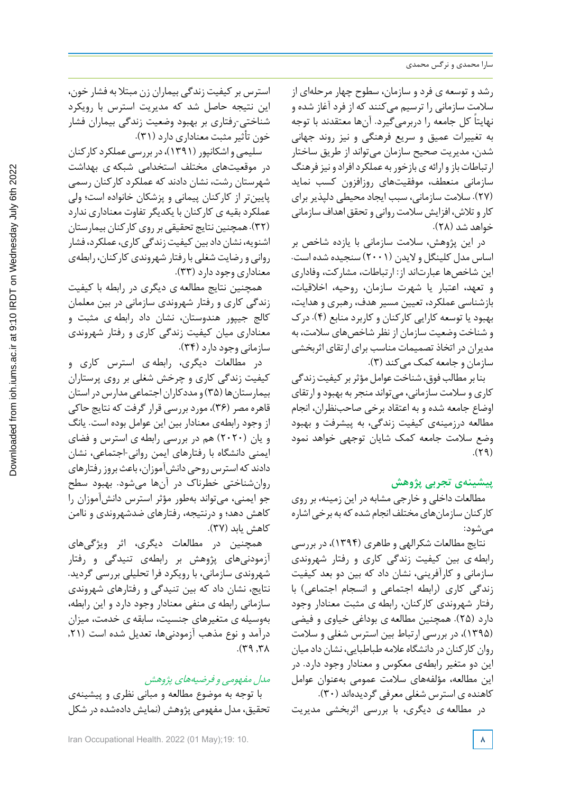رشد و توسعه ی فرد و سازمان، سطوح چهار مرحلهای از سالمت سازمانی را ترسیم میکنند که از فرد آغاز شده و نهایتاً کل جامعه را دربرمیگیرد. آنها معتقدند با توجه به تغییرات عمیق و سریع فرهنگی و نیز روند جهانی شدن، مدیریت صحیح سازمان میتواند از طریق ساختار ارتباطات باز وارائه ی بازخور به عملکردافراد و نیز فرهنگ سازمانی منعطف، موفقیتهای روزافزون کسب نماید (27). سالمت سازمانی، سبب ایجاد محیطی دلپذیر برای کار و تلاش، افزایش سلامت روانی و تحقق اهداف سازمانی خواهد شد (28).

در این پژوهش، سالمت سازمانی با یازده شاخص بر اساس مدل کلینگل و الیدن (2001) سنجیده شده است. این شاخصها عبارتاند از: ارتباطات، مشارکت، وفاداری و تعهد، اعتبار یا شهرت سازمان، روحیه، اخالقیات، بازشناسی عملکرد، تعیین مسیر هدف، رهبری و هدایت، بهبود یا توسعه کارایی کارکنان و کاربرد منابع (4). درك و شناخت وضعیت سازمان از نظر شاخصهای سالمت، به مدیران در اتخاذتصمیمات مناسب برای ارتقای اثربخشی سازمان و جامعه کمک می کند (۳).

بنا بر مطالب فوق، شناخت عوامل مؤثر بر کیفیت زندگی کاری و سلامت سازمانی، میتواند منجر به بهبود و ارتقای اوضاع جامعه شده و به اعتقاد برخی صاحبنظران، انجام مطالعه درزمینهی کیفیت زندگی، به پیشرفت و بهبود وضع سالمت جامعه کمک شایان توجهی خواهد نمود  $(59)$ 

# **پیشینهی تجربی پژوهش**

مطالعات داخلی و خارجی مشابه در این زمینه، بر روی کار کنان سازمانهای مختلف انجام شده که به برخی اشاره میشود:

نتایج مطالعات شکرالهی و طاهری (1394)، در بررسی رابطه ی بین کیفیت زندگی کاری و رفتار شهروندی سازمانی و کارآفرینی، نشان داد که بین دو بعد کیفیت زندگی کاری (رابطه اجتماعی و انسجام اجتماعی) با رفتار شهروندی کارکنان، رابطه ی مثبت معنادار وجود دارد (25). همچنین مطالعه ی بوداغی خیاوی و فیضی (1395)، در بررسی ارتباط بین استرس شغلی و سالمت روان کارکنان دردانشگاهعالمه طباطبایی، نشان دادمیان این دو متغیر رابطهی معکوس و معنادار وجود دارد. در این مطالعه، مؤلفههای سالمت عمومی بهعنوان عوامل کاهنده ی استرس شغلی معرفی گردیدهاند (30).

در مطالعه ی دیگری، با بررسی اثربخشی مدیریت

استرس برکیفیت زندگی بیماران زن مبتال به فشار خون، این نتیجه حاصل شد که مدیریت استرس با رویکرد شناختی-رفتاری بر بهبود وضعیت زندگی بیماران فشار خون تأثیرمثبت معناداری دارد (31).

سلیمی و اشکانپور (۱۳۹۱)، در بررسی عملکرد کارکنان در موقعیتهای مختلف استخدامی شبکه ی بهداشت شهرستان رشت، نشان دادند که عملکرد کارکنان رسمی پایینتر از کارکنان پیمانی و پزشکان خانواده است؛ ولی عملکردبقیه ی کارکنان با یکدیگر تفاوت معناداری ندارد (٣٢). همچنین نتایج تحقیقی بر روی کارکنان بیمارستان اشنویه، نشان داد بین کیفیت زندگی کاری، عملکرد، فشار روانی و رضایت شغلی با رفتار شهروندی کارکنان، رابطهی معناداری وجوددارد (33).

همچنین نتایج مطالعه ی دیگری در رابطه با کیفیت زندگی کاری و رفتار شهروندی سازمانی در بین معلمان کالج جیپور هندوستان، نشان داد رابطه ی مثبت و معناداری میان کیفیت زندگی کاری و رفتار شهروندی سازمانی وجود دارد (۳۴).

در مطالعات دیگری، رابطه ی استرس کاری و کیفیت زندگی کاری و چرخش شغلی بر روی پرستاران بیمارستانها (۳۵) و مددکاران اجتماعی مدارس در استان قاهره مصر (36)، مورد بررسی قرار گرفت که نتایج حاکی از وجود رابطهی معنادار بین این عوامل بوده است. یانگ و یان (2020) هم در بررسی رابطه ی استرس و فضای ایمنی دانشگاه با رفتارهای ایمن روانی-اجتماعی، نشان دادند که استرس روحی دانش آموزان، باعث بروز رفتارهای روانشناختی خطرناك در آنها میشود. بهبود سطح جو ایمنی، میتواند بهطور مؤثر استرس دانشآموزان را کاهش دهد؛ و درنتیجه، رفتارهای ضدشهروندی و ناامن کاهش یابد (37).

همچنین در مطالعات دیگری، اثر ویژگیهای آزمودنیهای پژوهش بر رابطهی تنیدگی و رفتار شهروندی سازمانی، با رویکرد فرا تحلیلی بررسی گردید. نتایج، نشان داد که بین تنیدگی و رفتارهای شهروندی سازمانی رابطه ی منفی معنادار وجود دارد و این رابطه، بهوسیله ی متغیرهای جنسیت، سابقه ی خدمت، میزان درآمد و نوع مذهب آزمودنیها، تعدیل شده است (,21  $\lambda$ 7,  $\gamma$ 9.

## مدل مفهومی <sup>و</sup> فرضیههای پژوهش

با توجه به موضوع مطالعه و مبانی نظری و پیشینهی تحقیق، مدل مفهومی پژوهش (نمایش دادهشدهدر شکل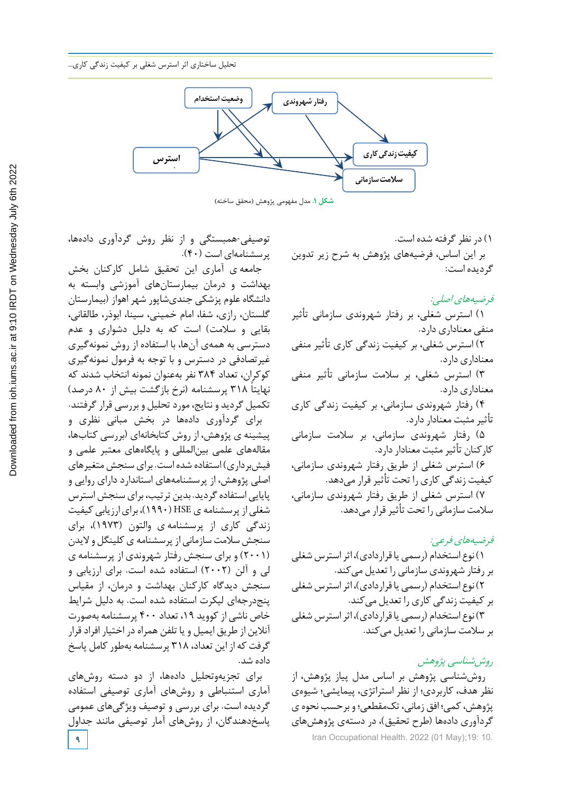

**شکل .1** مدل مفهومی پژوهش )محقق ساخته(

1) در نظرگرفته شده است. بر این اساس، فرضیههای پژوهش به شرح زیر تدوین گردیده است:

فرضیههای اصلی: 1) استرس شغلی، بر رفتار شهروندی سازمانی تأثیر منفی معناداری دارد. 2) استرس شغلی، بر کیفیت زندگی کاری تأثیر منفی معناداری دارد. 3) استرس شغلی، بر سالمت سازمانی تأثیر منفی معناداری دارد. 4) رفتار شهروندی سازمانی، بر کیفیت زندگی کاری تأثیر مثبت معنادار دارد. 5) رفتار شهروندی سازمانی، بر سالمت سازمانی کارکنان تأثیر مثبت معنادار دارد. 6) استرس شغلی از طریق رفتار شهروندی سازمانی، کیفیت زندگی کاری را تحت تأثیرقرار میدهد. 7) استرس شغلی از طریق رفتار شهروندی سازمانی، سلامت سازمانی را تحت تأثیر قرار می دهد.

فرضیههای فرعی: 1) نوع استخدام (رسمییا قراردادی)، اثراسترسشغلی بررفتار شهروندی سازمانی را تعدیل میکند. ۲) نوع استخدام (رسمی یا قراردادی)، اثر استرس شغلی برکیفیت زندگی کاری را تعدیل میکند. ۴) نوع استخدام (رسمی یا قراردادی)، اثر استرس شغلی بر سلامت سازمانی را تعدیل میکند.

**9** Iran Occupational Health. 2022 (01 May);19: 10. روششناسی پژوهش روششناسی پژوهش بر اساس مدل پیاز پژوهش، از نظر هدف، کاربردی؛ از نظر استراتژی، پیمایشی؛ شیوهی پژوهش،کمی؛ افق زمانی، تکمقطعی؛ و برحسب نحوه ی گردآوری دادهها (طرح تحقیق)، در دستهی پژوهشهای

توصیفی-همبستگی و از نظر روش گردآوری دادهها، پرسشنامهای است (40).

جامعه ی آماری این تحقیق شامل کارکنان بخش بهداشت و درمان بیمارستانهای آموزشی وابسته به دانشگاه علوم پزشکی جندیشاپور شهر اهواز (بیمارستان گلستان، رازی، شفا، امام خمینی، سینا، ابوذر، طالقانی، بقایی و سالمت) است که به دلیل دشواری و عدم دسترسی به همهی آنها، با استفاده از روش نمونهگیری غیرتصادفی در دسترس و با توجه به فرمول نمونهگیری کوکران، تعداد 384 نفر بهعنوان نمونه انتخاب شدند که نهایتاً ۳۱۸ پرسشنامه (نرخ بازگشت بیش از ۸۰ درصد) تکمیل گردید و نتایج، موردتحلیل و بررسی قرارگرفتند. برای گردآوری دادهها در بخش مبانی نظری و پیشینه ی پژوهش، از روش کتابخانهای (بررسی کتابها، مقالههای علمی بینالمللی و پایگاههای معتبر علمی و فیشبرداری) استفاده شده است. برای سنجش متغیرهای اصلی پژوهش، از پرسشنامههای استاندارد دارای روایی و پایایی استفاده گردید. بدین ترتیب، برای سنجش استرس شغلی از پرسشنامه ی HSE (۱۹۹۰)، برای ارزیابی کیفیت زندگی کاری از پرسشنامه ی والتون (1973)، برای سنجش سلامت سازمانی از پرسشنامه ی کلینگل و لایدن (2001) و برای سنجش رفتار شهروندی از پرسشنامه ی لی و آلن (2002) استفاده شده است. برای ارزیابی و سنجش دیدگاه کارکنان بهداشت و درمان، از مقیاس پنجدرجهای لیکرت استفاده شده است. به دلیل شرایط خاص ناشی ازکووید ،19 تعداد 400 پرسشنامه بهصورت آنالین از طریق ایمیل و یا تلفن همراهدر اختیار افرادقرار گرفت که از این تعداد، 318 پرسشنامه بهطورکامل پاسخ داده شد.

برای تجزیهوتحلیل دادهها، از دو دسته روشهای آماری استنباطی و روشهای آماری توصیفی استفاده گردیده است. برای بررسی و توصیف ویژگیهای عمومی پاسخدهندگان، از روشهای آمار توصیفی مانند جداول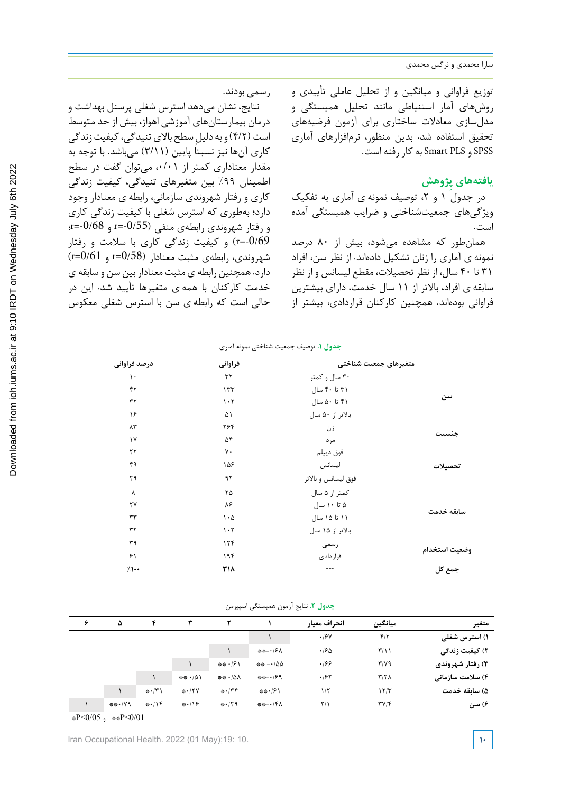Downloaded from ioh.iums.ac.ir at 9:10 IRDT on Wednesday July 6th 2022 [Downloaded from ioh.iums.ac.ir at 9:10 IRDT on Wednesday July 6th 2022](http://ioh.iums.ac.ir/article-1-3291-fa.html) توزیع فراوانی و میانگین و از تحلیل عاملی تأییدی و روشهای آمار استنباطی مانند تحلیل همبستگی و مدلسازی معادالت ساختاری برای آزمون فرضیههای تحقیق استفاده شد. بدین منظور، نرمافزارهای آماری SPSS و PLS Smart به کار رفته است.

# **ِژوهش یافتههای پ**

در جدول ۱ و ۲، توصیف نمونه ی آماری به تفکیک ویژگیهای جمعیتشناختی و ضرایب همبستگی آمده است.

همانطور که مشاهده میشود، بیش از 80 درصد نمونه ی آماری را زنان تشکیل دادهاند. از نظر سن، افراد 31 تا 40 سال، از نظر تحصیالت، مقطع لیسانس و از نظر سابقه ی افراد، باالتر از 11 سال خدمت، دارای بیشترین فراوانی بودهاند. همچنین کارکنان قراردادی، بیشتر از

رسمی بودند.

نتایج، نشان میدهد استرس شغلی پرسنل بهداشت و درمان بیمارستانهای آموزشی اهواز، بیش از حد متوسط است (۴/۲) و به دلیل سطح بالای تنیدگی، کیفیت زندگی کاری آنها نیز نسبتاً پایین (۳/۱۱) میباشد. با توجه به مقدار معناداری کمتر از ،0/01 میتوان گفت در سطح اطمینان %99 بین متغیرهای تنیدگی، کیفیت زندگی کاری و رفتار شهروندی سازمانی، رابطه ی معنادار وجود دارد؛ بهطوری که استرس شغلی با کیفیت زندگی کاری و رفتار شهروندی رابطهی منفی (p=-0/55 و c=-0/68=r= -0/69=r (و کیفیت زندگی کاری با سالمت و رفتار شهروندی، رابطهی مثبت معنادار (0/58=r و 0/61=r ( دارد. همچنین رابطه یمثبت معنادار بین سن و سابقه ی خدمت کارکنان با همه ی متغیرها تأیید شد. این در حالی است که رابطه ی سن با استرس شغلی معکوس

| درصد فراوانی         | فراوانى                         | متغيرهاي جمعيت شناختي |               |
|----------------------|---------------------------------|-----------------------|---------------|
| $\mathcal{L}$        | $\tau\tau$                      | ۳۰ سال و کمتر         |               |
| ۴٢                   | 157                             | ۳۱ تا ۴۰ سال          |               |
| $\tau\tau$           | $\mathcal{N} \cdot \mathcal{N}$ | ۴۱ تا ۵۰ سال          | سن            |
| ۱۶                   | ۵۱                              | بالاتر از ۵۰ سال      |               |
| $\Lambda \mathsf{r}$ | ۲۶۴                             | زن                    |               |
| $\gamma$             | ۵۴                              | مر د                  | جنسيت         |
| $\tau\tau$           | γ٠                              | فوق ديپلم             |               |
| ۴۹                   | ۱۵۶                             | ليسانس                | تحصيلات       |
| ۲۹                   | ۹۲                              | فوق ليسانس و بالاتر   |               |
| Υ                    | ٢۵                              | کمتر از ۵ سال         |               |
| ٢٧                   | ۸۶                              | ۵ تا ۱۰ سال           |               |
| $\tau\tau$           | $\mathcal{L} \cdot \mathcal{L}$ | ۱۱ تا ۱۵ سال          | سابقه خدمت    |
| $\tau\tau$           | 1.7                             | بالاتر از ۱۵ سال      |               |
| ٣٩                   | 156                             | رسمى                  |               |
| ۶۱                   | ۱۹۴                             | قراردادى              | وضعيت استخدام |
| 7.1                  | ٣١٨                             | ---                   | جمع کل        |

**جدول .1** توصیف جمعیت شناختی نمونه آماری

| جدول ٢. نتايج آزمون همبستگي اسپيرمن |  |  |
|-------------------------------------|--|--|
|-------------------------------------|--|--|

| متغير            | ميانگين                   | انحراف معيار            |            |                    |                      | ۴                   | ۵      | ۶ |
|------------------|---------------------------|-------------------------|------------|--------------------|----------------------|---------------------|--------|---|
| ۱) استرس شغلی    | $f/\tau$                  | .19Y                    |            |                    |                      |                     |        |   |
| ۲) کیفیت زندگی   | $\mathcal{L}/\mathcal{L}$ | .180                    | ※※-・/タ人    |                    |                      |                     |        |   |
| ۳) رفتار شهروندی | $\mathbf{r}/\mathbf{v}$   | .199                    | $*** -100$ | ※※・/۶ー             |                      |                     |        |   |
| ۴) سلامت سازمانی | $\mathbf{r}/\mathbf{r}$   | .195                    | ※※−・/69    | ** ·/△∧            | ※※・/△\               |                     |        |   |
| ۵) سابقه خدمت    | ۱۲/۳                      | $1/\zeta$               | $***/51$   | $* \cdot / \tau$   | $* \cdot / \nabla V$ | $* \cdot \wedge^*)$ |        |   |
| ۶) سن            | $\mathbf{y}(\mathbf{y})$  | $\mathsf{Y}/\mathsf{I}$ | **− · /۴∧  | $* \cdot \wedge 9$ | $\frac{1}{2}$ ./16   | $* \cdot \wedge f$  | ***/∨9 |   |

 $\frac{P}{Q}$  (0/05  $\frac{P}{Q}$   $\frac{P}{Q}$  +  $\frac{P}{Q}$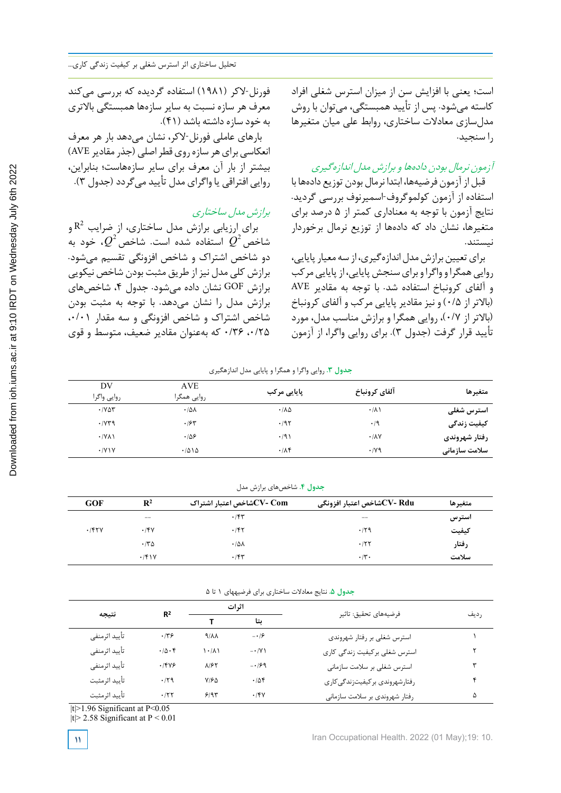است؛ یعنی با افزایش سن از میزان استرس شغلی افراد کاسته میشود. پس از تأیید همبستگی، میتوان با روش مدلسازی معادالت ساختاری، روابط علی میان متغیرها را سنجید.

# آزمون نرمال بودن دادهها <sup>و</sup> برازش مدل اندازهگیری

قبل از آزمون فرضیهها، ابتدا نرمال بودن توزیع دادهها با استفاده از آزمون کولموگروف-اسمیرنوف بررسی گردید. نتایج آزمون با توجه به معناداری کمتر از 5 درصد برای متغیرها، نشان داد که دادهها از توزیع نرمال برخوردار نیستند.

برای تعیین برازش مدل اندازهگیری، از سه معیار پایایی، روایی همگرا و واگرا و برای سنجش پایایی، از پایایی مرکب و آلفای کرونباخ استفاده شد. با توجه به مقادیر AVE (باالتر از 0/5) و نیز مقادیر پایایی مرکب و آلفای کرونباخ (باالتر از 0/7)، روایی همگرا و برازش مناسب مدل، مورد تأیید قرار گرفت (جدول 3). برای روایی واگرا، از آزمون

فورنل-الکر (1981) استفاده گردیده که بررسی میکند معرف هر سازه نسبت به سایر سازهها همبستگی باالتری به خود سازهداشته باشد (41).

بارهای عاملی فورنل-الکر، نشان میدهد بار هر معرف انعکاسی برای هر سازه روی قطر اصلی (جذر مقادیر AVE) بیشتر از بار آن معرف برای سایر سازههاست؛ بنابراین، روایی افتراقی یا واگرای مدل تأیید میگردد (جدول 3).

# برازش مدل ساختاری

برای ارزیابی برازش مدل ساختاری، از ضرایب  $\mathtt{R}^2$  و شا*خص*  $\varmathcal{Q}^{\scriptscriptstyle 2}$  استفاده شده است. شاخص  $\varmathcal{Q}^{\scriptscriptstyle 2}$ ، خود به دو شاخص اشتراك و شاخص افزونگی تقسیم میشود. برازش کلی مدل نیزاز طریق مثبت بودن شاخص نیکویی برازش GOF نشان داده میشود. جدول ۴، شاخصهای برازش مدل را نشان میدهد. با توجه به مثبت بودن شاخص اشتراك و شاخص افزونگی و سه مقدار ،0/01 ،0/25 0/36 که بهعنوان مقادیر ضعیف، متوسط و قوی

# **جدول .3 روایی واگرا و همگرا و پا یایی مدل اندازهگیري جدول .3** روایی واگرا و همگرا و پایایی مدل اندازهگیری

| DV<br>روايي واگرا                | <b>AVE</b><br>روایی همگرا | پایایی مرکب                  | آلفاي كرونباخ        | متغيرها       |
|----------------------------------|---------------------------|------------------------------|----------------------|---------------|
| $\cdot$ / $\vee$ $\circ$ $\circ$ | $\cdot$ /5/               | $\cdot$ / $\Lambda$ $\Delta$ | $\cdot/\lambda$      | استرس شغلی    |
| .1049                            | .755                      | .195                         | $\cdot$ /9           | کیفیت زندگی   |
| $\cdot$ /YA)                     | .109                      | $\cdot$ /9)                  | $\cdot$ / $\wedge$ Y | رفتار شهروندی |
| .7Y                              | .7010                     | .78                          | $\cdot$ /yq          | سلامت سازمانی |

**جدول .4** شاخصهای برازش مدل

| <b>GOF</b> | $\mathbb{R}^2$ | شاخص اعتبار اشتراک $\rm{CV}$ - $\rm{Com}$ | شاخص اعتبار افزونگی $\rm{CV}$ - $\rm{Rdu}$ | متغيرها |
|------------|----------------|-------------------------------------------|--------------------------------------------|---------|
|            | $- -$          | .75                                       | $- -$                                      | استرس   |
| .157V      | .15V           | .787                                      | .79                                        | كيفيت   |
|            | $\cdot$ /۳۵    | $\cdot$ / $\Delta \lambda$                | .777                                       | ر فتار  |
|            | .791Y          | .75                                       | $\cdot$ /۳.                                | سلامت   |

جدول ۵. نتایج معادلات ساختاری برای فرضیههای ۱ تا ۵

| نتيجه         | R <sup>2</sup>         | اثرات               |                       |                                |      |  |
|---------------|------------------------|---------------------|-----------------------|--------------------------------|------|--|
|               |                        |                     | ىتا                   | فرضيههاي تحقيق: تاثير          | رديف |  |
| تأييد اثرمنفي | .149                   | $4/\lambda\lambda$  | $- \cdot \mathcal{F}$ | استرس شغلی بر رفتار شهروندی    |      |  |
| تأييد اثرمنفي | $\cdot/\Delta \cdot f$ | $\cdot$ / $\lambda$ | $- \cdot / V$         | استرس شغلي بركيفيت زندگي كاري  |      |  |
| تأييد اثرمنفي | .1999                  | $\lambda$ /۶۲       | $-199$                | استرس شغلی بر سلامت سازمانی    |      |  |
| تأييد اثرمثبت | .79                    | $Y/F\Delta$         | .708                  | رفتارشهروندي بركيفيتزندگي كاري |      |  |
| تأييد اثرمثبت | .75                    | 9/95                | .78V                  | رفتار شهروندي بر سلامت سازماني | ۵    |  |

 $|t|$ >1.96 Significant at P<0.05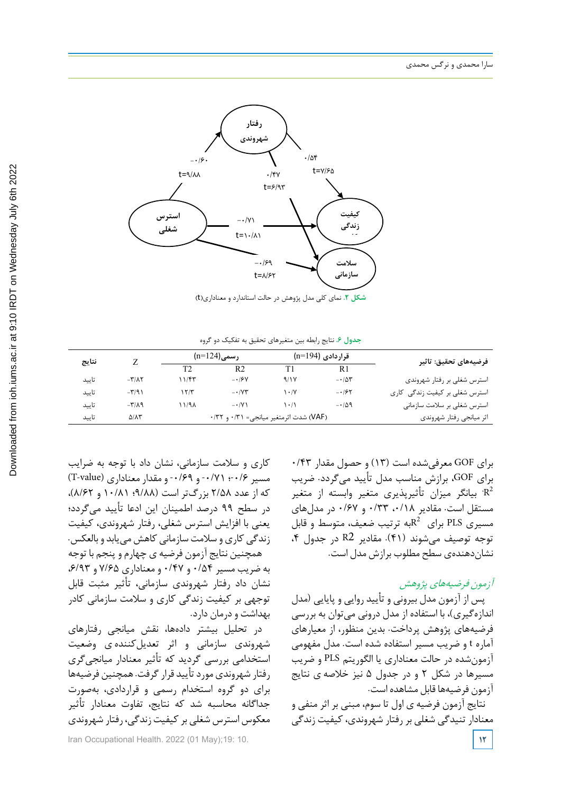

**شکل .2 نماي کلی مدل پژوهش در حالت استاندارد و معناداري(t ( شکل .2** نمای کلی مدل پژوهش در حالت استاندارد و معناداری)t)

**جدول .6** نتایج رابطه بین متغیرهای تحقیق به تفکیک دو گروه

| نتايج |                                    |       | $(n=124)$ رسمے)                        |       | قراردادی (n=194) | فرضيههای تحقيق: تاثير          |
|-------|------------------------------------|-------|----------------------------------------|-------|------------------|--------------------------------|
|       |                                    | Т?    | R <sub>2</sub>                         | T1    | R1               |                                |
| تاييد | $-\mathsf{r}/\mathsf{A}\mathsf{r}$ | ۱۱/۴۳ | $-19y$                                 | 9/1 V | $-105$           | استرس شغلی بر رفتار شهروندی    |
| تاييد | $-\mathbf{r}/9$                    | ۱۲/۳  | $ \cdot$ / $\gamma$ $\tau$             | ۱۰۱۷  | $-195$           | استرس شغلی بر کیفیت زندگی کاری |
| تاييد | $-\mathbf{r}/\mathbf{A}$           | ۱۱/۹۸ | $ \cdot$ /Y \                          | ۱۰/۱  | $-109$           | استرس شغلی بر سلامت سازمانی    |
| تاييد | $\Delta/\Lambda\tau$               |       | (VAF) شدت اثرمتغیر میانجی= ۰/۳۱ و ۰/۳۲ |       |                  | اثر ميانجي رفتار شهروندي       |

برای GOF معرفیشده است (13) و حصول مقدار 0/43 برای GOF، برازش مناسب مدل تأیید میگردد. ضریب بیانگر میزان تأثیرپذیری متغیر وابسته از متغیر  $\mathrm{R}^2$ مستقل است. مقادیر ،0/18 0/33 و 0/67 در مدلهای مسیری PLS برای  $R^2$ به ترتیب ضعیف، متوسط و قابل توجه توصیف میشوند (41). مقادیر 2R در جدول ،4 نشاندهندهی سطح مطلوب برازش مدل است.

# آزمون فرضیههای پژوهش

پس از آزمون مدل بیرونی و تأیید روایی و پایایی (مدل اندازهگیری)، با استفاده از مدل درونی میتوان به بررسی فرضیههای پژوهش پرداخت. بدین منظور، از معیارهای آماره t و ضریب مسیر استفاده شده است. مدل مفهومی آزمونشده در حالت معناداری یا الگوریتم PLS و ضریب مسیرها در شکل 2 و در جدول 5 نیز خالصه ی نتایج آزمون فرضیهها قابل مشاهده است.

نتایج آزمون فرضیه ی اول تا سوم، مبنی بر اثر منفی و معنادار تنیدگی شغلی بر رفتار شهروندی، کیفیت زندگی

کاری و سالمت سازمانی، نشان داد با توجه به ضرایب  $(T\text{-value})$  مسیر ۰/۶۹؛ ۰/۷۱ - و ۰/۶۹ و هقدار معناداری که از عدد 2/58 بزرگتر است (9/88؛ 10/81 و 8/62)، در سطح 99 درصد اطمینان این ادعا تأیید میگردد؛ یعنی با افزایش استرس شغلی، رفتار شهروندی، کیفیت زندگی کاری و سالمت سازمانی کاهش مییابد و بالعکس.

همچنین نتایج آزمون فرضیه ی چهارم و پنجم با توجه به ضریب مسیر 0/54 و 0/47 و معناداری 7/65 و ،6/93 نشان داد رفتار شهروندی سازمانی، تأثیر مثبت قابل توجهی بر کیفیت زندگی کاری و سالمت سازمانی کادر بهداشت ودرمان دارد.

در تحلیل بیشتر دادهها، نقش میانجی رفتارهای شهروندی سازمانی و اثر تعدیلکننده ی وضعیت استخدامی بررسی گردید که تأثیر معنادار میانجیگری رفتار شهروندیموردتأیید قرارگرفت. همچنین فرضیهها برای دو گروه استخدام رسمی و قراردادی، بهصورت جداگانه محاسبه شد که نتایج، تفاوت معنادار تأثیر معکوس استرس شغلی برکیفیت زندگی، رفتار شهروندی

Iran Occupational Health. 2022 (01 May);19: 10. **12**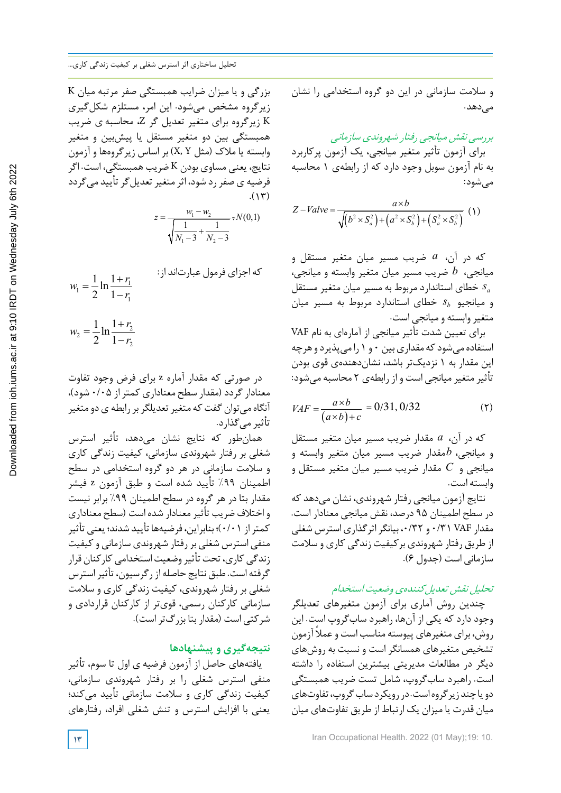بزرگی و یا میزان ضرایب همبستگی صفر مرتبه میان K زیرگروه مشخص میشود. این امر، مستلزم شکلگیری K زیرگروه برای متغیر تعدیل گر Z، محاسبه ی ضریب همبستگی بین دو متغیر مستقل یا پیشبین و متغیر وابسته یا مالك (مثل Y ,X (بر اساس زیرگروهها و آزمون نتایج، یعنی مساوی بودن K ضریب همبستگی، است. اگر فرضیه ی صفر رد شود، اثر متغیر تعدیل گر تأیید می گردد  $(11)$ 

$$
z = \frac{w_1 - w_2}{\sqrt{\frac{1}{N_1 - 3} + \frac{1}{N_2 - 3}}} \propto N(0, 1)
$$

$$
w_{1} = \frac{1}{2} \ln \frac{1+r_{1}}{1-r_{1}}
$$
  

$$
w_{2} = \frac{1}{2} \ln \frac{1+r_{2}}{1-r_{2}}
$$
  

$$
w_{3} = \frac{1}{2} \ln \frac{1+r_{2}}{1-r_{2}}
$$

2

 $2 - 1$ 

در صورتی که مقدار آماره z برای فرض وجود تفاوت معنادارگردد (مقدار سطح معناداری کمتراز 0/05 شود)، آنگاه میتوان گفت که متغیر تعدیلگر بر رابطه ی دو متغیر تأثیر میگذارد.

همانطور که نتایج نشان میدهد، تأثیر استرس شغلی بر رفتار شهروندی سازمانی، کیفیت زندگی کاری و سالمت سازمانی در هر دو گروه استخدامی در سطح اطمینان %99 تأیید شده است و طبق آزمون z فیشر مقدار بتا در هر گروه در سطح اطمینان %99 برابر نیست و اختالف ضریب تأثیرمعنادار شده است (سطح معناداری کمتراز 0/01)؛ بنابراین، فرضیهها تأیید شدند؛ یعنیتأثیر منفی استرس شغلی بررفتار شهروندی سازمانی وکیفیت زندگی کاری، تحت تأثیر وضعیت استخدامی کارکنان قرار گرفته است. طبق نتایج حاصله از رگرسیون، تأثیراسترس شغلی بر رفتار شهروندی، کیفیت زندگی کاری و سالمت سازمانی کارکنان رسمی، قویتر از کارکنان قراردادی و شرکتی است (مقدار بتا بزرگتراست).

# **نتیجهگیری و پیشنهادها**

یافتههای حاصل از آزمون فرضیه ی اول تا سوم، تأثیر منفی استرس شغلی را بر رفتار شهروندی سازمانی، کیفیت زندگی کاری و سالمت سازمانی تأیید میکند؛ یعنی با افزایش استرس و تنش شغلی افراد، رفتارهای و سالمت سازمانی در این دو گروه استخدامی را نشان می دهد.

بررسی نقش میانجی رفتار شهروندی سازمانی برای آزمون تأثیر متغیر میانجی، یک آزمون پرکاربرد به نام آزمون سوبل وجود دارد که از رابطهی 1 محاسبه میشود:

$$
Z - Value = \frac{a \times b}{\sqrt{(b^2 \times S_a^2) + (a^2 \times S_b^2) + (S_a^2 \times S_b^2)}}
$$
 (1)

که در آن، *a* ضریب مسیر میان متغیر مستقل و میانجی، *b* ضریب مسیر میان متغیر وابسته و میانجی، *s <sup>a</sup>* خطای استاندارد مربوط به مسیر میان متغیر مستقل و میانجیو *s <sup>b</sup>* خطای استاندارد مربوط به مسیر میان متغیر وابسته و میانجی است.

برای تعیین شدت تأثیر میانجی از آمارهای به نام VAF استفاده میشود که مقداری بین ۰ و ۱ را میپذیرد و هرچه این مقدار به 1 نزدیکتر باشد، نشاندهندهی قوی بودن تأثیرمتغیرمیانجی است و از رابطهی 2 محاسبه میشود:

$$
VAF = \frac{a \times b}{(a \times b) + c} = 0/31, 0/32
$$
 (7)

که در آن، *a* مقدار ضریب مسیر میان متغیر مستقل و میانجی، *b*مقدار ضریب مسیر میان متغیر وابسته و میانجی و *C* مقدار ضریب مسیر میان متغیر مستقل و وابسته است.

نتایج آزمون میانجی رفتار شهروندی، نشان میدهد که در سطح اطمینان 95 درصد، نقش میانجی معنادار است. مقدار VAF ۰/۳۱ و ۰/۳۲ بیانگر اثرگذاری استرس شغلی از طریق رفتار شهروندی برکیفیت زندگی کاری و سالمت سازمانی است (جدول 6).

## تحلیل نقش تعدیلکنندهی وضعیت استخدام

چندین روش آماری برای آزمون متغیرهای تعدیلگر وجود دارد که یکی از آنها، راهبرد سابگروپ است. این روش، برای متغیرهای پیوسته مناسب است و عملاً آزمون تشخیص متغیرهای همسانگر است و نسبت به روشهای دیگر در مطالعات مدیریتی بیشترین استفاده را داشته است. راهبرد سابگروپ، شامل تست ضریب همبستگی دویاچندزیرگروهاست. دررویکردسابگروپ، تفاوتهای میان قدرت یا میزان یک ارتباط از طریق تفاوتهای میان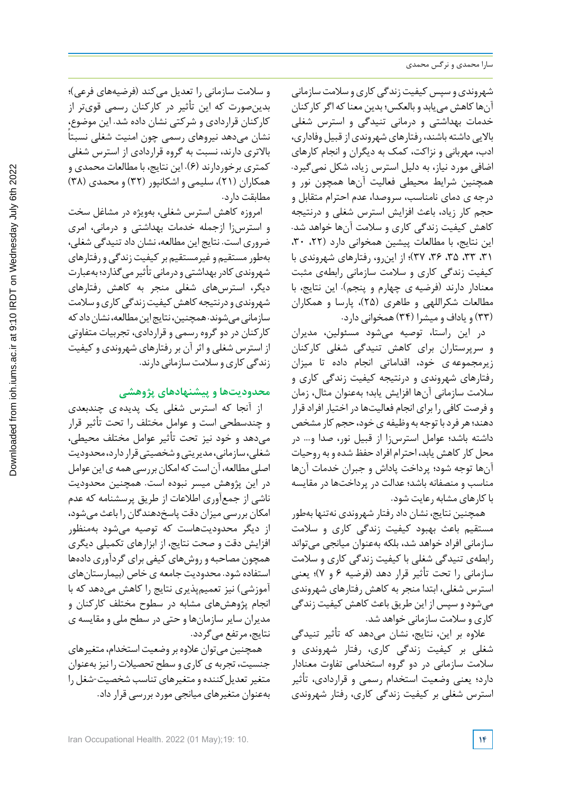شهروندی و سپس کیفیت زندگی کاری و سلامت سازمانی آنهاکاهش مییابد و بالعکس؛ بدین معناکه اگرکارکنان خدمات بهداشتی و درمانی تنیدگی و استرس شغلی بالایی داشته باشند، رفتارهای شهروندی از قبیل وفاداری، ادب، مهربانی و نزاکت، کمک به دیگران و انجام کارهای اضافی مورد نیاز، به دلیل استرس زیاد، شکل نمیگیرد. همچنین شرایط محیطی فعالیت آنها همچون نور و درجه ی دمای نامناسب، سروصدا، عدم احترام متقابل و حجم کار زیاد، باعث افزایش استرس شغلی و درنتیجه کاهش کیفیت زندگی کاری و سالمت آنها خواهد شد. این نتایج، با مطالعات پیشین همخوانی دارد (۲۲، ۳۰، ،31 ،33 ،35 ،36 37)؛ از اینرو، رفتارهای شهروندی با کیفیت زندگی کاری و سالمت سازمانی رابطهی مثبت معنادار دارند (فرضیه ی چهارم و پنجم). این نتایج، با مطالعات شکراللهی و طاهری (25)، پارسا و همکاران (33) و یاداف و میشرا (34) همخوانی دارد.

در این راستا، توصیه میشود مسئولین، مدیران و سرپرستاران برای کاهش تنیدگی شغلی کارکنان زیرمجموعه ی خود، اقداماتی انجام داده تا میزان رفتارهای شهروندی و درنتیجه کیفیت زندگی کاری و سالمت سازمانی آنها افزایش یابد؛ بهعنوان مثال، زمان و فرصت کافی را برای انجام فعالیتهادر اختیار افرادقرار دهند؛هرفردبا توجه به وظیفه یخود، حجم کارمشخص داشته باشد؛ عوامل استرسزا از قبیل نور، صدا و... در محل کار کاهش یابد، احترام افراد حفظ شده و به روحیات آنها توجه شود؛ پرداخت پاداش و جبران خدمات آنها مناسب و منصفانه باشد؛ عدالت در پرداختها در مقایسه باکارهای مشابه رعایت شود.

همچنین نتایج، نشان دادرفتار شهروندی نهتنها بهطور مستقیم باعث بهبود کیفیت زندگی کاری و سالمت سازمانی افراد خواهد شد، بلکه بهعنوان میانجی میتواند رابطهی تنیدگی شغلی با کیفیت زندگی کاری و سالمت سازمانی را تحت تأثیر قرار دهد (فرضیه 6 و 7)؛ یعنی استرس شغلی، ابتدا منجر به کاهش رفتارهای شهروندی میشودو سپس از این طریق باعث کاهش کیفیت زندگی کاری و سالمت سازمانی خواهد شد.

عالوه بر این، نتایج، نشان میدهد که تأثیر تنیدگی شغلی بر کیفیت زندگی کاری، رفتار شهروندی و سالمت سازمانی در دو گروه استخدامی تفاوت معنادار دارد؛ یعنی وضعیت استخدام رسمی و قراردادی، تأثیر استرس شغلی بر کیفیت زندگی کاری، رفتار شهروندی

و سالمت سازمانی را تعدیل میکند (فرضیههای فرعی)؛ بدینصورت که این تأثیر در کارکنان رسمی قویتر از کارکنان قراردادی و شرکتی نشان داده شد. این موضوع، ً نشان میدهد نیروهای رسمی چون امنیت شغلی نسبتا باالتری دارند، نسبت به گروه قراردادی از استرس شغلی کمتری برخوردارند (6). این نتایج، با مطالعات محمدی و همکاران (21)، سلیمی و اشکانپور (32) و محمدی (38) مطابقت دارد.

امروزه کاهش استرس شغلی، بهویژه در مشاغل سخت و استرسزا ازجمله خدمات بهداشتی و درمانی، امری ضروری است. نتایج این مطالعه، نشان دادتنیدگی شغلی، بهطورمستقیم وغیرمستقیم برکیفیتزندگیورفتارهای شهروندی کادر بهداشتی و درمانی تأثیر می گذار د؛ بهعبارت دیگر، استرسهای شغلی منجر به کاهش رفتارهای شهروندی و درنتیجه کاهش کیفیت زندگی کاری و سلامت سازمانی میشوند. همچنین، نتایج این مطالعه، نشان داد که کارکنان در دو گروه رسمی و قراردادی، تجربیات متفاوتی از استرس شغلی و اثرآن بررفتارهای شهروندی وکیفیت زندگی کاری و سلامت سازمانی دارند.

## **محدودیتها و پیشنهادهای پژوهشی**

از آنجا که استرس شغلی یک پدیده ی چندبعدی و چندسطحی است و عوامل مختلف را تحت تأثیر قرار میدهد و خود نیز تحت تأثیر عوامل مختلف محیطی، شغلی، سازمانی، مدیریتی و شخصیتی قرار دارد، محدودیت اصلی مطالعه، آن است که امکان بررسی همه ی این عوامل در این پژوهش میسر نبوده است. همچنین محدودیت ناشی از جمعآوری اطالعات از طریق پرسشنامه که عدم امکان بررسی میزان دقت پاسخدهندگان را باعث میشود، از دیگر محدودیتهاست که توصیه میشود بهمنظور افزایش دقت و صحت نتایج، از ابزارهای تکمیلی دیگری همچون مصاحبه و روشهای کیفی برای گردآوری دادهها استفاده شود. محدودیت جامعه ی خاص (بیمارستانهای آموزشی) نیز تعمیمپذیری نتایج را کاهش میدهد که با انجام پژوهشهای مشابه در سطوح مختلف کارکنان و مدیران سایر سازمانها و حتی در سطح ملی و مقایسه ی نتایج، مرتفع میگردد.

همچنین می توان علاوه بر وضعیت استخدام، متغیرهای جنسیت، تجربه ی کاری و سطح تحصیالترا نیزبهعنوان متغیرتعدیلکننده و متغیرهای تناسب شخصیت-شغل را بهعنوان متغیرهای میانجی موردبررسی قرارداد.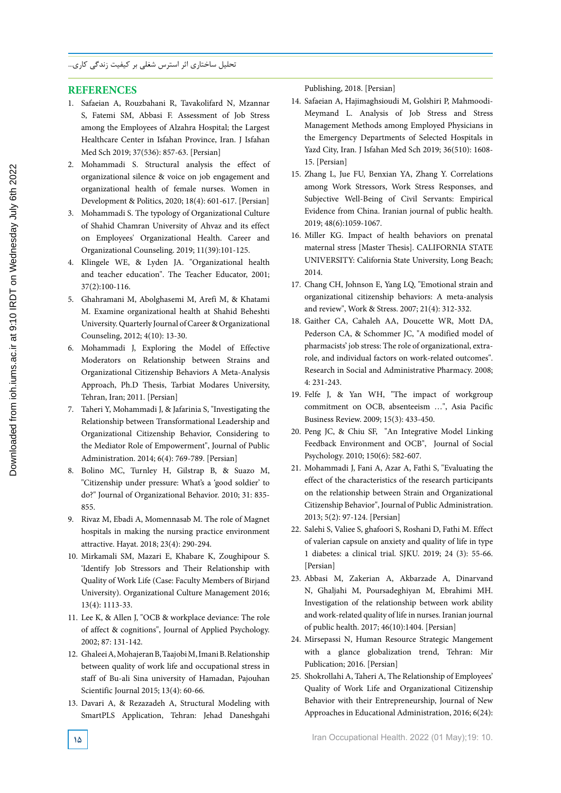### **REFERENCES**

- 1. Safaeian A, Rouzbahani R, Tavakolifard N, Mzannar S, Fatemi SM, Abbasi F. Assessment of Job Stress among the Employees of Alzahra Hospital; the Largest Healthcare Center in Isfahan Province, Iran. J Isfahan Med Sch 2019; 37(536): 857-63. [Persian]
- 2. Mohammadi S. Structural analysis the effect of organizational silence & voice on job engagement and organizational health of female nurses. Women in Development & Politics, 2020; 18(4): 601-617. [Persian]
- 3. Mohammadi S. The typology of Organizational Culture of Shahid Chamran University of Ahvaz and its effect on Employees' Organizational Health. Career and Organizational Counseling. 2019; 11(39):101-125.
- 4. Klingele WE, & Lyden JA. "Organizational health and teacher education". The Teacher Educator, 2001; 37(2):100-116.
- 5. Ghahramani M, Abolghasemi M, Arefi M, & Khatami M. Examine organizational health at Shahid Beheshti University. Quarterly Journal of Career & Organizational Counseling, 2012; 4(10): 13-30.
- 6. Mohammadi J, Exploring the Model of Effective Moderators on Relationship between Strains and Organizational Citizenship Behaviors A Meta-Analysis Approach, Ph.D Thesis, Tarbiat Modares University, Tehran, Iran; 2011. [Persian]
- 7. Taheri Y, Mohammadi J, & Jafarinia S, "Investigating the Relationship between Transformational Leadership and Organizational Citizenship Behavior, Considering to the Mediator Role of Empowerment", Journal of Public Administration. 2014; 6(4): 769-789. [Persian]
- 8. Bolino MC, Turnley H, Gilstrap B, & Suazo M, "Citizenship under pressure: What's a 'good soldier' to do?" Journal of Organizational Behavior. 2010; 31: 835- 855.
- 9. Rivaz M, Ebadi A, Momennasab M. The role of Magnet hospitals in making the nursing practice environment attractive. Hayat. 2018; 23(4): 290-294.
- 10. Mirkamali SM, Mazari E, Khabare K, Zoughipour S. 'Identify Job Stressors and Their Relationship with Quality of Work Life (Case: Faculty Members of Birjand University). Organizational Culture Management 2016; 13(4): 1113-33.
- 11. Lee K, & Allen J, "OCB & workplace deviance: The role of affect & cognitions", Journal of Applied Psychology. 2002; 87: 131-142.
- 12. Ghaleei A, Mohajeran B, Taajobi M, Imani B. Relationship between quality of work life and occupational stress in staff of Bu-ali Sina university of Hamadan, Pajouhan Scientific Journal 2015; 13(4): 60-66.
- 13. Davari A, & Rezazadeh A, Structural Modeling with SmartPLS Application, Tehran: Jehad Daneshgahi

Publishing, 2018. [Persian]

- 14. Safaeian A, Hajimaghsioudi M, Golshiri P, Mahmoodi-Meymand L. Analysis of Job Stress and Stress Management Methods among Employed Physicians in the Emergency Departments of Selected Hospitals in Yazd City, Iran. J Isfahan Med Sch 2019; 36(510): 1608- 15. [Persian]
- 15. Zhang L, Jue FU, Benxian YA, Zhang Y. Correlations among Work Stressors, Work Stress Responses, and Subjective Well-Being of Civil Servants: Empirical Evidence from China. Iranian journal of public health. 2019; 48(6):1059-1067.
- 16. Miller KG. Impact of health behaviors on prenatal maternal stress [Master Thesis]. CALIFORNIA STATE UNIVERSITY: California State University, Long Beach; 2014.
- 17. Chang CH, Johnson E, Yang LQ, "Emotional strain and organizational citizenship behaviors: A meta-analysis and review", Work & Stress. 2007; 21(4): 312-332.
- 18. Gaither CA, Cahaleh AA, Doucette WR, Mott DA, Pederson CA, & Schommer JC, "A modified model of pharmacists' job stress: The role of organizational, extrarole, and individual factors on work-related outcomes". Research in Social and Administrative Pharmacy. 2008; 4: 231-243.
- 19. Felfe J, & Yan WH, "The impact of workgroup commitment on OCB, absenteeism …", Asia Pacific Business Review. 2009; 15(3): 433-450.
- 20. Peng JC, & Chiu SF, "An Integrative Model Linking Feedback Environment and OCB", Journal of Social Psychology. 2010; 150(6): 582-607.
- 21. Mohammadi J, Fani A, Azar A, Fathi S, "Evaluating the effect of the characteristics of the research participants on the relationship between Strain and Organizational Citizenship Behavior", Journal of Public Administration. 2013; 5(2): 97-124. [Persian]
- 22. Salehi S, Valiee S, ghafoori S, Roshani D, Fathi M. Effect of valerian capsule on anxiety and quality of life in type 1 diabetes: a clinical trial. SJKU. 2019; 24 (3): 55-66. [Persian]
- 23. Abbasi M, Zakerian A, Akbarzade A, Dinarvand N, Ghaljahi M, Poursadeghiyan M, Ebrahimi MH. Investigation of the relationship between work ability and work-related quality of life in nurses. Iranian journal of public health. 2017; 46(10):1404. [Persian]
- 24. Mirsepassi N, Human Resource Strategic Mangement with a glance globalization trend, Tehran: Mir Publication; 2016. [Persian]
- 25. Shokrollahi A, Taheri A, The Relationship of Employees' Quality of Work Life and Organizational Citizenship Behavior with their Entrepreneurship, Journal of New Approaches in Educational Administration, 2016; 6(24):